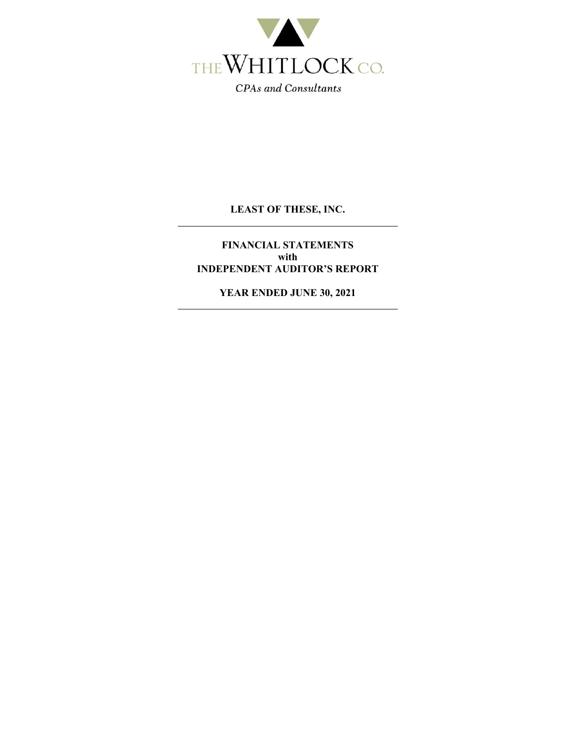

**FINANCIAL STATEMENTS with INDEPENDENT AUDITOR'S REPORT** 

**YEAR ENDED JUNE 30, 2021**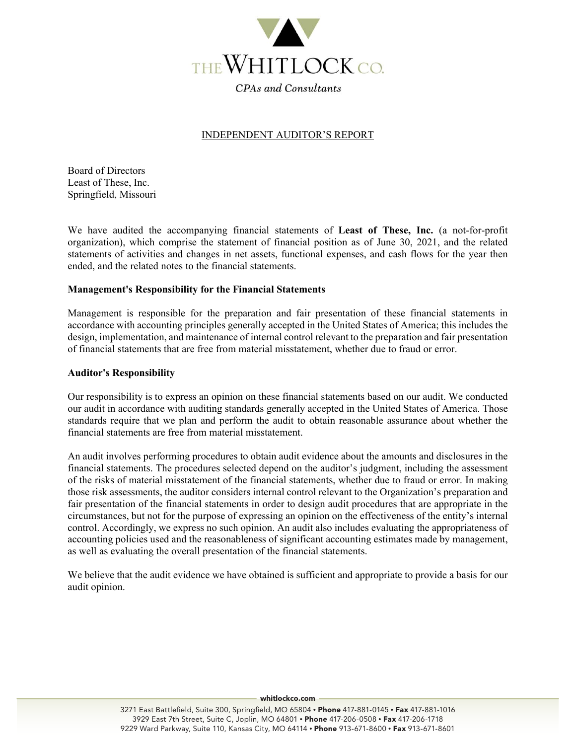

### INDEPENDENT AUDITOR'S REPORT

Board of Directors Least of These, Inc. Springfield, Missouri

We have audited the accompanying financial statements of **Least of These, Inc.** (a not-for-profit organization), which comprise the statement of financial position as of June 30, 2021, and the related statements of activities and changes in net assets, functional expenses, and cash flows for the year then ended, and the related notes to the financial statements.

### **Management's Responsibility for the Financial Statements**

Management is responsible for the preparation and fair presentation of these financial statements in accordance with accounting principles generally accepted in the United States of America; this includes the design, implementation, and maintenance of internal control relevant to the preparation and fair presentation of financial statements that are free from material misstatement, whether due to fraud or error.

#### **Auditor's Responsibility**

Our responsibility is to express an opinion on these financial statements based on our audit. We conducted our audit in accordance with auditing standards generally accepted in the United States of America. Those standards require that we plan and perform the audit to obtain reasonable assurance about whether the financial statements are free from material misstatement.

An audit involves performing procedures to obtain audit evidence about the amounts and disclosures in the financial statements. The procedures selected depend on the auditor's judgment, including the assessment of the risks of material misstatement of the financial statements, whether due to fraud or error. In making those risk assessments, the auditor considers internal control relevant to the Organization's preparation and fair presentation of the financial statements in order to design audit procedures that are appropriate in the circumstances, but not for the purpose of expressing an opinion on the effectiveness of the entity's internal control. Accordingly, we express no such opinion. An audit also includes evaluating the appropriateness of accounting policies used and the reasonableness of significant accounting estimates made by management, as well as evaluating the overall presentation of the financial statements.

We believe that the audit evidence we have obtained is sufficient and appropriate to provide a basis for our audit opinion.

whitlockco.com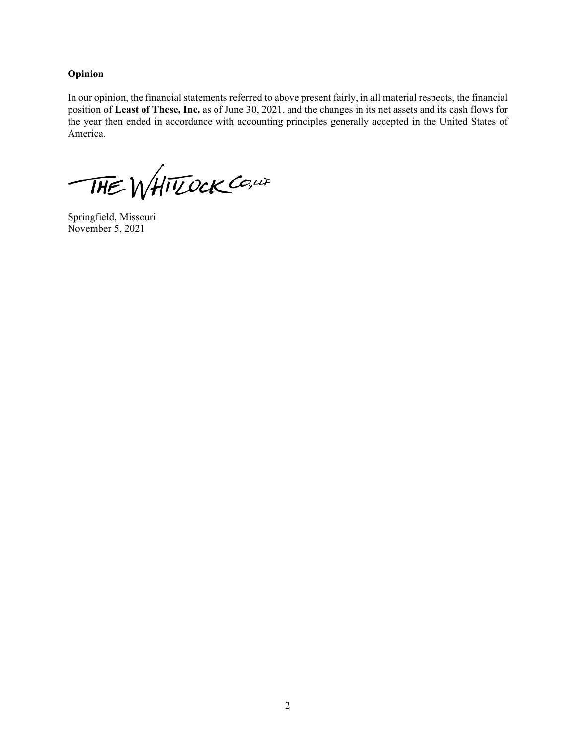### **Opinion**

In our opinion, the financial statements referred to above present fairly, in all material respects, the financial position of **Least of These, Inc.** as of June 30, 2021, and the changes in its net assets and its cash flows for the year then ended in accordance with accounting principles generally accepted in the United States of America.

THE WHITZOCK CO, LA

Springfield, Missouri November 5, 2021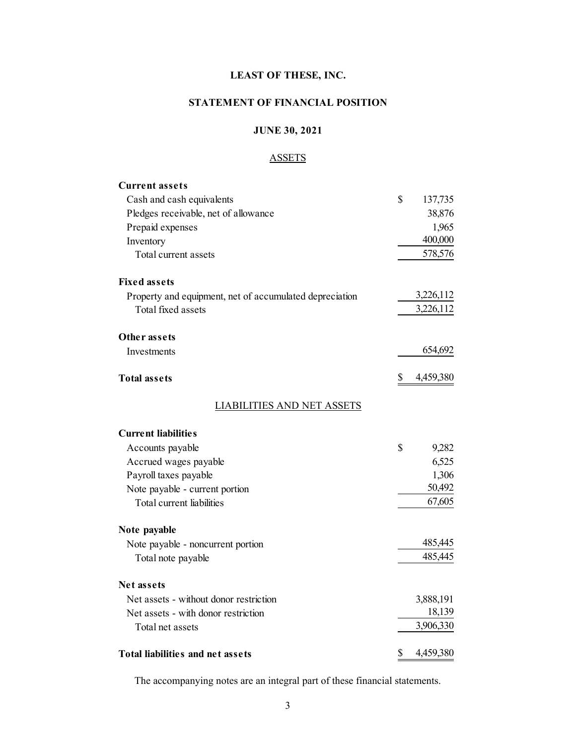## **STATEMENT OF FINANCIAL POSITION**

## **JUNE 30, 2021**

## **ASSETS**

| <b>Current assets</b>                                   |                 |
|---------------------------------------------------------|-----------------|
| Cash and cash equivalents                               | \$<br>137,735   |
| Pledges receivable, net of allowance                    | 38,876          |
| Prepaid expenses                                        | 1,965           |
| Inventory                                               | 400,000         |
| Total current assets                                    | 578,576         |
| <b>Fixed assets</b>                                     |                 |
| Property and equipment, net of accumulated depreciation | 3,226,112       |
| Total fixed assets                                      | 3,226,112       |
| Other assets                                            |                 |
| Investments                                             | 654,692         |
| <b>Total assets</b>                                     | \$<br>4,459,380 |
| <b>LIABILITIES AND NET ASSETS</b>                       |                 |
| <b>Current liabilities</b>                              |                 |
| Accounts payable                                        | \$<br>9,282     |
| Accrued wages payable                                   | 6,525           |
| Payroll taxes payable                                   | 1,306           |
| Note payable - current portion                          | 50,492          |
| Total current liabilities                               | 67,605          |
| Note payable                                            |                 |
| Note payable - noncurrent portion                       | 485,445         |
| Total note payable                                      | 485,445         |
| <b>Net assets</b>                                       |                 |
| Net assets - without donor restriction                  | 3,888,191       |
| Net assets - with donor restriction                     | 18,139          |
| Total net assets                                        | 3,906,330       |
| <b>Total liabilities and net assets</b>                 | \$<br>4,459,380 |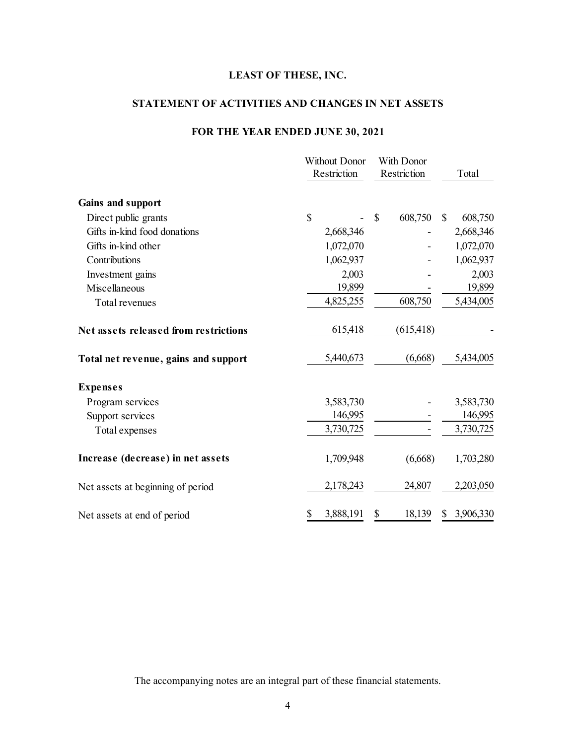## **STATEMENT OF ACTIVITIES AND CHANGES IN NET ASSETS**

# **FOR THE YEAR ENDED JUNE 30, 2021**

|                                       | <b>Without Donor</b><br>Restriction | With Donor<br>Restriction | Total                   |
|---------------------------------------|-------------------------------------|---------------------------|-------------------------|
| Gains and support                     |                                     |                           |                         |
| Direct public grants                  | \$                                  | 608,750<br>$\mathbb{S}$   | $\mathbb{S}$<br>608,750 |
| Gifts in-kind food donations          | 2,668,346                           |                           | 2,668,346               |
| Gifts in-kind other                   | 1,072,070                           |                           | 1,072,070               |
| Contributions                         | 1,062,937                           |                           | 1,062,937               |
| Investment gains                      | 2,003                               |                           | 2,003                   |
| Miscellaneous                         | 19,899                              |                           | 19,899                  |
| Total revenues                        | 4,825,255                           | 608,750                   | 5,434,005               |
| Net assets released from restrictions | 615,418                             | (615, 418)                |                         |
| Total net revenue, gains and support  | 5,440,673                           | (6,668)                   | 5,434,005               |
| <b>Expenses</b>                       |                                     |                           |                         |
| Program services                      | 3,583,730                           |                           | 3,583,730               |
| Support services                      | 146,995                             |                           | 146,995                 |
| Total expenses                        | 3,730,725                           |                           | 3,730,725               |
| Increase (decrease) in net assets     | 1,709,948                           | (6,668)                   | 1,703,280               |
| Net assets at beginning of period     | 2,178,243                           | 24,807                    | 2,203,050               |
| Net assets at end of period           | 3,888,191<br>\$                     | 18,139<br>\$              | 3,906,330               |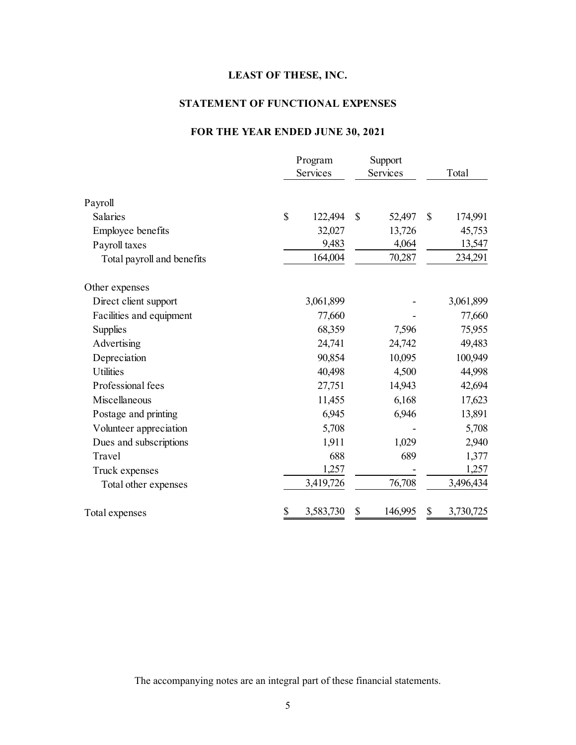# **STATEMENT OF FUNCTIONAL EXPENSES**

# **FOR THE YEAR ENDED JUNE 30, 2021**

|                            | Program<br>Services | Support<br>Services |         | Total           |
|----------------------------|---------------------|---------------------|---------|-----------------|
| Payroll                    |                     |                     |         |                 |
| Salaries                   | \$<br>122,494       | \$                  | 52,497  | \$<br>174,991   |
| Employee benefits          | 32,027              |                     | 13,726  | 45,753          |
| Payroll taxes              | 9,483               |                     | 4,064   | 13,547          |
| Total payroll and benefits | 164,004             |                     | 70,287  | 234,291         |
| Other expenses             |                     |                     |         |                 |
| Direct client support      | 3,061,899           |                     |         | 3,061,899       |
| Facilities and equipment   | 77,660              |                     |         | 77,660          |
| <b>Supplies</b>            | 68,359              |                     | 7,596   | 75,955          |
| Advertising                | 24,741              |                     | 24,742  | 49,483          |
| Depreciation               | 90,854              |                     | 10,095  | 100,949         |
| <b>Utilities</b>           | 40,498              |                     | 4,500   | 44,998          |
| Professional fees          | 27,751              |                     | 14,943  | 42,694          |
| Miscellaneous              | 11,455              |                     | 6,168   | 17,623          |
| Postage and printing       | 6,945               |                     | 6,946   | 13,891          |
| Volunteer appreciation     | 5,708               |                     |         | 5,708           |
| Dues and subscriptions     | 1,911               |                     | 1,029   | 2,940           |
| Travel                     | 688                 |                     | 689     | 1,377           |
| Truck expenses             | 1,257               |                     |         | 1,257           |
| Total other expenses       | 3,419,726           |                     | 76,708  | 3,496,434       |
| Total expenses             | \$<br>3,583,730     | \$                  | 146,995 | \$<br>3,730,725 |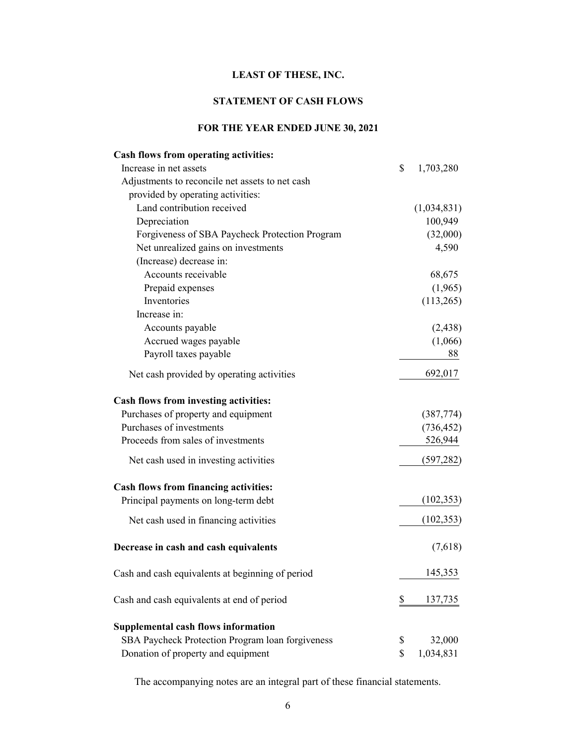## **STATEMENT OF CASH FLOWS**

## **FOR THE YEAR ENDED JUNE 30, 2021**

| Cash flows from operating activities:            |                 |
|--------------------------------------------------|-----------------|
| Increase in net assets                           | \$<br>1,703,280 |
| Adjustments to reconcile net assets to net cash  |                 |
| provided by operating activities:                |                 |
| Land contribution received                       | (1,034,831)     |
| Depreciation                                     | 100,949         |
| Forgiveness of SBA Paycheck Protection Program   | (32,000)        |
| Net unrealized gains on investments              | 4,590           |
| (Increase) decrease in:                          |                 |
| Accounts receivable                              | 68,675          |
| Prepaid expenses                                 | (1,965)         |
| Inventories                                      | (113,265)       |
| Increase in:                                     |                 |
| Accounts payable                                 | (2, 438)        |
| Accrued wages payable                            | (1,066)         |
| Payroll taxes payable                            | 88              |
| Net cash provided by operating activities        | 692,017         |
| Cash flows from investing activities:            |                 |
| Purchases of property and equipment              | (387, 774)      |
| Purchases of investments                         | (736, 452)      |
| Proceeds from sales of investments               | 526,944         |
| Net cash used in investing activities            | (597, 282)      |
| Cash flows from financing activities:            |                 |
| Principal payments on long-term debt             | (102, 353)      |
| Net cash used in financing activities            | (102, 353)      |
| Decrease in cash and cash equivalents            | (7,618)         |
| Cash and cash equivalents at beginning of period | 145,353         |
| Cash and cash equivalents at end of period       | \$<br>137,735   |
| <b>Supplemental cash flows information</b>       |                 |
| SBA Paycheck Protection Program loan forgiveness | \$<br>32,000    |
| Donation of property and equipment               | \$<br>1,034,831 |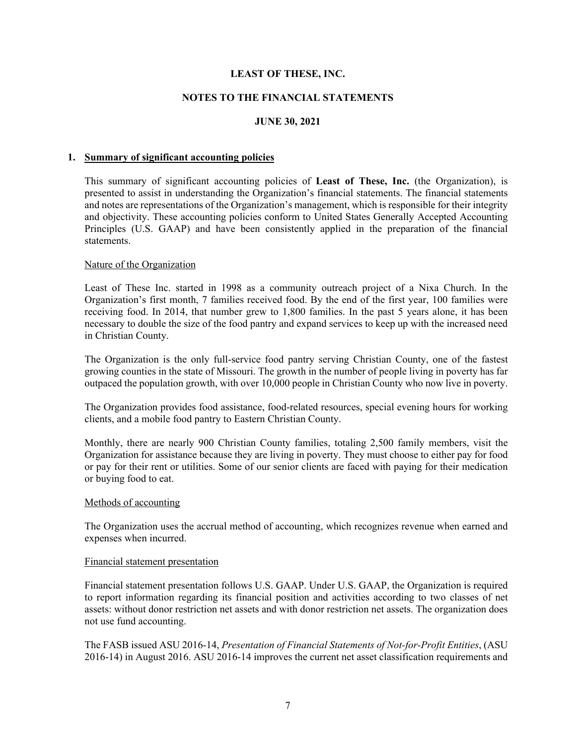### **NOTES TO THE FINANCIAL STATEMENTS**

### **JUNE 30, 2021**

#### **1. Summary of significant accounting policies**

This summary of significant accounting policies of **Least of These, Inc.** (the Organization), is presented to assist in understanding the Organization's financial statements. The financial statements and notes are representations of the Organization's management, which is responsible for their integrity and objectivity. These accounting policies conform to United States Generally Accepted Accounting Principles (U.S. GAAP) and have been consistently applied in the preparation of the financial statements.

#### Nature of the Organization

Least of These Inc. started in 1998 as a community outreach project of a Nixa Church. In the Organization's first month, 7 families received food. By the end of the first year, 100 families were receiving food. In 2014, that number grew to 1,800 families. In the past 5 years alone, it has been necessary to double the size of the food pantry and expand services to keep up with the increased need in Christian County.

The Organization is the only full-service food pantry serving Christian County, one of the fastest growing counties in the state of Missouri. The growth in the number of people living in poverty has far outpaced the population growth, with over 10,000 people in Christian County who now live in poverty.

The Organization provides food assistance, food-related resources, special evening hours for working clients, and a mobile food pantry to Eastern Christian County.

Monthly, there are nearly 900 Christian County families, totaling 2,500 family members, visit the Organization for assistance because they are living in poverty. They must choose to either pay for food or pay for their rent or utilities. Some of our senior clients are faced with paying for their medication or buying food to eat.

#### Methods of accounting

The Organization uses the accrual method of accounting, which recognizes revenue when earned and expenses when incurred.

#### Financial statement presentation

Financial statement presentation follows U.S. GAAP. Under U.S. GAAP, the Organization is required to report information regarding its financial position and activities according to two classes of net assets: without donor restriction net assets and with donor restriction net assets. The organization does not use fund accounting.

The FASB issued ASU 2016-14, *Presentation of Financial Statements of Not-for-Profit Entities*, (ASU 2016-14) in August 2016. ASU 2016-14 improves the current net asset classification requirements and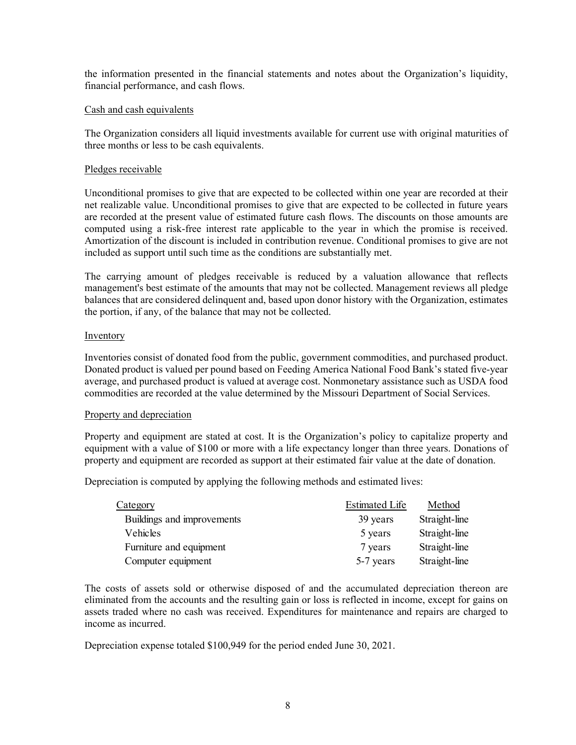the information presented in the financial statements and notes about the Organization's liquidity, financial performance, and cash flows.

#### Cash and cash equivalents

The Organization considers all liquid investments available for current use with original maturities of three months or less to be cash equivalents.

#### Pledges receivable

Unconditional promises to give that are expected to be collected within one year are recorded at their net realizable value. Unconditional promises to give that are expected to be collected in future years are recorded at the present value of estimated future cash flows. The discounts on those amounts are computed using a risk-free interest rate applicable to the year in which the promise is received. Amortization of the discount is included in contribution revenue. Conditional promises to give are not included as support until such time as the conditions are substantially met.

The carrying amount of pledges receivable is reduced by a valuation allowance that reflects management's best estimate of the amounts that may not be collected. Management reviews all pledge balances that are considered delinquent and, based upon donor history with the Organization, estimates the portion, if any, of the balance that may not be collected.

#### **Inventory**

Inventories consist of donated food from the public, government commodities, and purchased product. Donated product is valued per pound based on Feeding America National Food Bank's stated five-year average, and purchased product is valued at average cost. Nonmonetary assistance such as USDA food commodities are recorded at the value determined by the Missouri Department of Social Services.

#### Property and depreciation

Property and equipment are stated at cost. It is the Organization's policy to capitalize property and equipment with a value of \$100 or more with a life expectancy longer than three years. Donations of property and equipment are recorded as support at their estimated fair value at the date of donation.

Depreciation is computed by applying the following methods and estimated lives:

| <b>Category</b>            | <b>Estimated Life</b> | Method        |
|----------------------------|-----------------------|---------------|
| Buildings and improvements | 39 years              | Straight-line |
| Vehicles                   | 5 years               | Straight-line |
| Furniture and equipment    | 7 years               | Straight-line |
| Computer equipment         | 5-7 years             | Straight-line |

The costs of assets sold or otherwise disposed of and the accumulated depreciation thereon are eliminated from the accounts and the resulting gain or loss is reflected in income, except for gains on assets traded where no cash was received. Expenditures for maintenance and repairs are charged to income as incurred.

Depreciation expense totaled \$100,949 for the period ended June 30, 2021.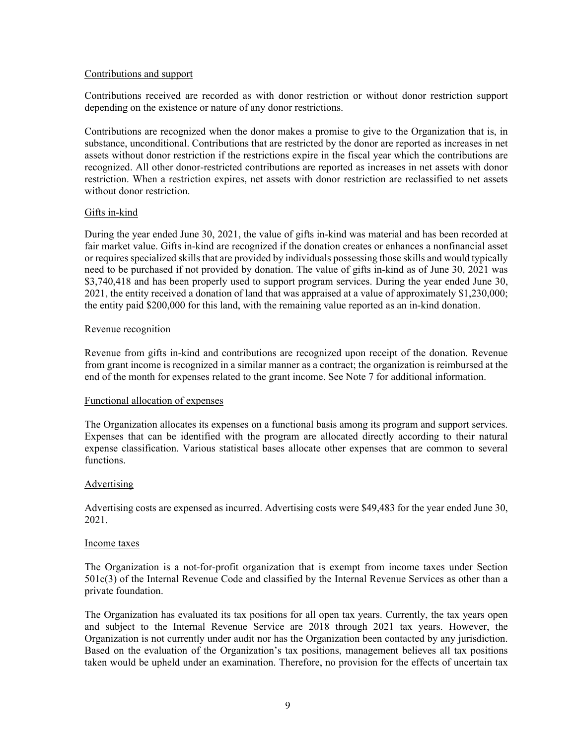#### Contributions and support

Contributions received are recorded as with donor restriction or without donor restriction support depending on the existence or nature of any donor restrictions.

Contributions are recognized when the donor makes a promise to give to the Organization that is, in substance, unconditional. Contributions that are restricted by the donor are reported as increases in net assets without donor restriction if the restrictions expire in the fiscal year which the contributions are recognized. All other donor-restricted contributions are reported as increases in net assets with donor restriction. When a restriction expires, net assets with donor restriction are reclassified to net assets without donor restriction.

### Gifts in-kind

During the year ended June 30, 2021, the value of gifts in-kind was material and has been recorded at fair market value. Gifts in-kind are recognized if the donation creates or enhances a nonfinancial asset or requires specialized skills that are provided by individuals possessing those skills and would typically need to be purchased if not provided by donation. The value of gifts in-kind as of June 30, 2021 was \$3,740,418 and has been properly used to support program services. During the year ended June 30, 2021, the entity received a donation of land that was appraised at a value of approximately \$1,230,000; the entity paid \$200,000 for this land, with the remaining value reported as an in-kind donation.

#### Revenue recognition

Revenue from gifts in-kind and contributions are recognized upon receipt of the donation. Revenue from grant income is recognized in a similar manner as a contract; the organization is reimbursed at the end of the month for expenses related to the grant income. See Note 7 for additional information.

### Functional allocation of expenses

The Organization allocates its expenses on a functional basis among its program and support services. Expenses that can be identified with the program are allocated directly according to their natural expense classification. Various statistical bases allocate other expenses that are common to several functions.

### Advertising

Advertising costs are expensed as incurred. Advertising costs were \$49,483 for the year ended June 30, 2021.

#### Income taxes

The Organization is a not-for-profit organization that is exempt from income taxes under Section 501c(3) of the Internal Revenue Code and classified by the Internal Revenue Services as other than a private foundation.

The Organization has evaluated its tax positions for all open tax years. Currently, the tax years open and subject to the Internal Revenue Service are 2018 through 2021 tax years. However, the Organization is not currently under audit nor has the Organization been contacted by any jurisdiction. Based on the evaluation of the Organization's tax positions, management believes all tax positions taken would be upheld under an examination. Therefore, no provision for the effects of uncertain tax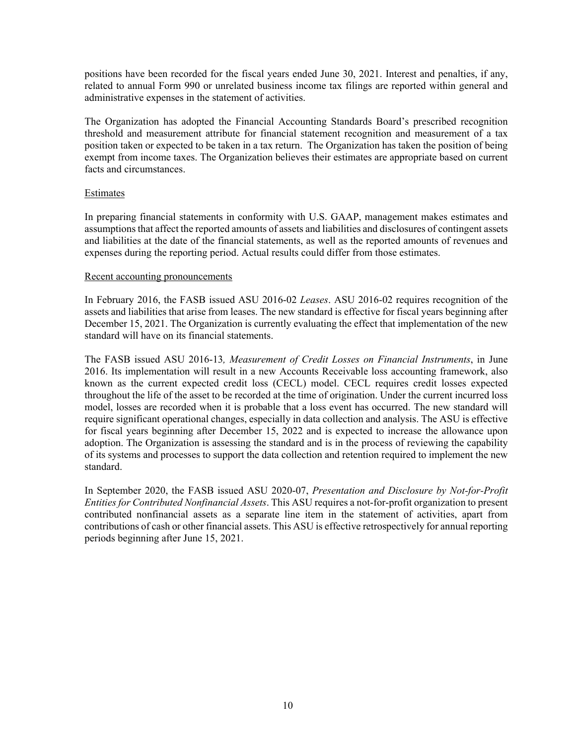positions have been recorded for the fiscal years ended June 30, 2021. Interest and penalties, if any, related to annual Form 990 or unrelated business income tax filings are reported within general and administrative expenses in the statement of activities.

The Organization has adopted the Financial Accounting Standards Board's prescribed recognition threshold and measurement attribute for financial statement recognition and measurement of a tax position taken or expected to be taken in a tax return. The Organization has taken the position of being exempt from income taxes. The Organization believes their estimates are appropriate based on current facts and circumstances.

### **Estimates**

In preparing financial statements in conformity with U.S. GAAP, management makes estimates and assumptions that affect the reported amounts of assets and liabilities and disclosures of contingent assets and liabilities at the date of the financial statements, as well as the reported amounts of revenues and expenses during the reporting period. Actual results could differ from those estimates.

### Recent accounting pronouncements

In February 2016, the FASB issued ASU 2016-02 *Leases*. ASU 2016-02 requires recognition of the assets and liabilities that arise from leases. The new standard is effective for fiscal years beginning after December 15, 2021. The Organization is currently evaluating the effect that implementation of the new standard will have on its financial statements.

The FASB issued ASU 2016-13*, Measurement of Credit Losses on Financial Instruments*, in June 2016. Its implementation will result in a new Accounts Receivable loss accounting framework, also known as the current expected credit loss (CECL) model. CECL requires credit losses expected throughout the life of the asset to be recorded at the time of origination. Under the current incurred loss model, losses are recorded when it is probable that a loss event has occurred. The new standard will require significant operational changes, especially in data collection and analysis. The ASU is effective for fiscal years beginning after December 15, 2022 and is expected to increase the allowance upon adoption. The Organization is assessing the standard and is in the process of reviewing the capability of its systems and processes to support the data collection and retention required to implement the new standard.

In September 2020, the FASB issued ASU 2020-07, *Presentation and Disclosure by Not-for-Profit Entities for Contributed Nonfinancial Assets*. This ASU requires a not-for-profit organization to present contributed nonfinancial assets as a separate line item in the statement of activities, apart from contributions of cash or other financial assets. This ASU is effective retrospectively for annual reporting periods beginning after June 15, 2021.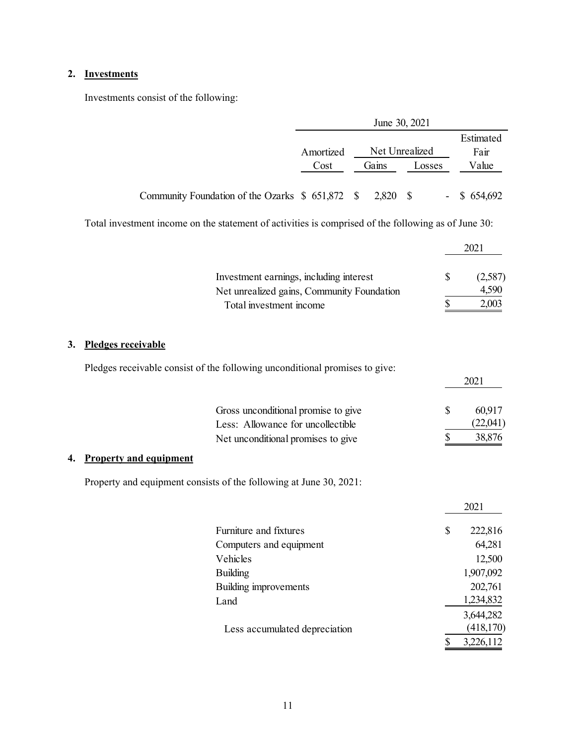## **2. Investments**

Investments consist of the following:

|                                                  |           |          | June 30, 2021  |                |
|--------------------------------------------------|-----------|----------|----------------|----------------|
|                                                  |           |          |                | Estimated      |
|                                                  | Amortized |          | Net Unrealized | Fair           |
|                                                  | Cost      | Gains    | Losses         | Value          |
|                                                  |           |          |                |                |
| Community Foundation of the Ozarks $$651,872$ \$ |           | 2,820 \$ |                | $-$ \$ 654,692 |

Total investment income on the statement of activities is comprised of the following as of June 30:

| Investment earnings, including interest    | (2,587) |
|--------------------------------------------|---------|
| Net unrealized gains, Community Foundation | 4,590   |
| Total investment income                    | 2,003   |

# **3. Pledges receivable**

| Pledges receivable consist of the following unconditional promises to give: |
|-----------------------------------------------------------------------------|
|-----------------------------------------------------------------------------|

| Gross unconditional promise to give | 60.917   |
|-------------------------------------|----------|
| Less: Allowance for uncollectible   | (22,041) |
| Net unconditional promises to give  | 38,876   |

2021

## **4. Property and equipment**

Property and equipment consists of the following at June 30, 2021:

|                               |   | 2021       |
|-------------------------------|---|------------|
| Furniture and fixtures        | S | 222,816    |
| Computers and equipment       |   | 64,281     |
| Vehicles                      |   | 12,500     |
| <b>Building</b>               |   | 1,907,092  |
| Building improvements         |   | 202,761    |
| Land                          |   | 1,234,832  |
|                               |   | 3,644,282  |
| Less accumulated depreciation |   | (418, 170) |
|                               | S | 3,226,112  |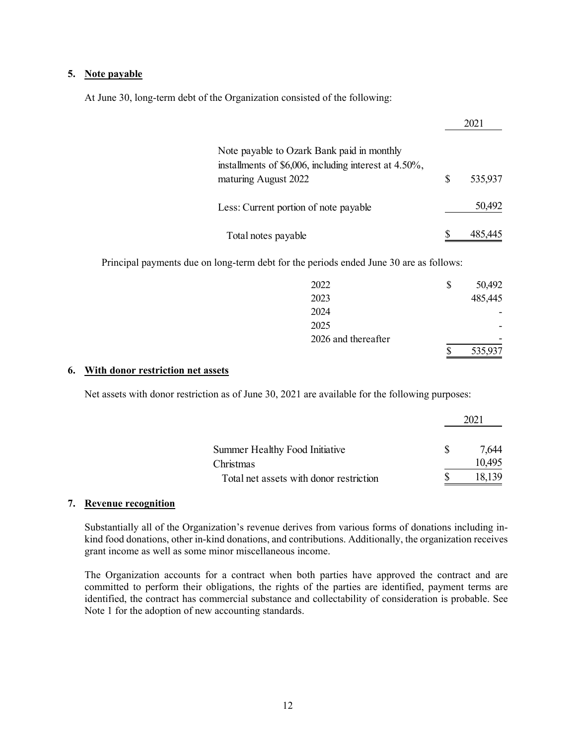#### **5. Note payable**

At June 30, long-term debt of the Organization consisted of the following:

| Note payable to Ozark Bank paid in monthly<br>installments of \$6,006, including interest at 4.50%,<br>maturing August 2022 | S | 535,937 |
|-----------------------------------------------------------------------------------------------------------------------------|---|---------|
| Less: Current portion of note payable                                                                                       |   | 50,492  |
| Total notes payable                                                                                                         |   |         |

Principal payments due on long-term debt for the periods ended June 30 are as follows:

|                     |   | 535,937 |
|---------------------|---|---------|
| 2026 and thereafter |   |         |
| 2025                |   |         |
| 2024                |   |         |
| 2023                |   | 485,445 |
| 2022                | S | 50,492  |

#### **6. With donor restriction net assets**

Net assets with donor restriction as of June 30, 2021 are available for the following purposes:

| Summer Healthy Food Initiative          |  | 7.644  |
|-----------------------------------------|--|--------|
| Christmas                               |  | 10.495 |
| Total net assets with donor restriction |  |        |

#### **7. Revenue recognition**

Substantially all of the Organization's revenue derives from various forms of donations including inkind food donations, other in-kind donations, and contributions. Additionally, the organization receives grant income as well as some minor miscellaneous income.

The Organization accounts for a contract when both parties have approved the contract and are committed to perform their obligations, the rights of the parties are identified, payment terms are identified, the contract has commercial substance and collectability of consideration is probable. See Note 1 for the adoption of new accounting standards.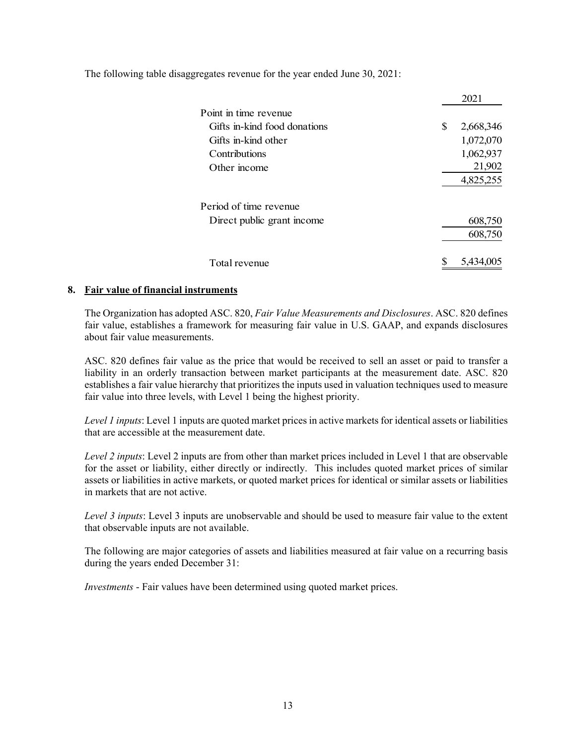The following table disaggregates revenue for the year ended June 30, 2021:

|                              | 2021            |
|------------------------------|-----------------|
| Point in time revenue        |                 |
| Gifts in-kind food donations | \$<br>2,668,346 |
| Gifts in-kind other          | 1,072,070       |
| Contributions                | 1,062,937       |
| Other income                 | 21,902          |
|                              | 4,825,255       |
| Period of time revenue       |                 |
| Direct public grant income   | 608,750         |
|                              | 608,750         |
| Total revenue                | 5,434,005       |

### **8. Fair value of financial instruments**

The Organization has adopted ASC. 820, *Fair Value Measurements and Disclosures*. ASC. 820 defines fair value, establishes a framework for measuring fair value in U.S. GAAP, and expands disclosures about fair value measurements.

ASC. 820 defines fair value as the price that would be received to sell an asset or paid to transfer a liability in an orderly transaction between market participants at the measurement date. ASC. 820 establishes a fair value hierarchy that prioritizes the inputs used in valuation techniques used to measure fair value into three levels, with Level 1 being the highest priority.

*Level 1 inputs*: Level 1 inputs are quoted market prices in active markets for identical assets or liabilities that are accessible at the measurement date.

*Level 2 inputs*: Level 2 inputs are from other than market prices included in Level 1 that are observable for the asset or liability, either directly or indirectly. This includes quoted market prices of similar assets or liabilities in active markets, or quoted market prices for identical or similar assets or liabilities in markets that are not active.

*Level 3 inputs*: Level 3 inputs are unobservable and should be used to measure fair value to the extent that observable inputs are not available.

The following are major categories of assets and liabilities measured at fair value on a recurring basis during the years ended December 31:

*Investments* - Fair values have been determined using quoted market prices.